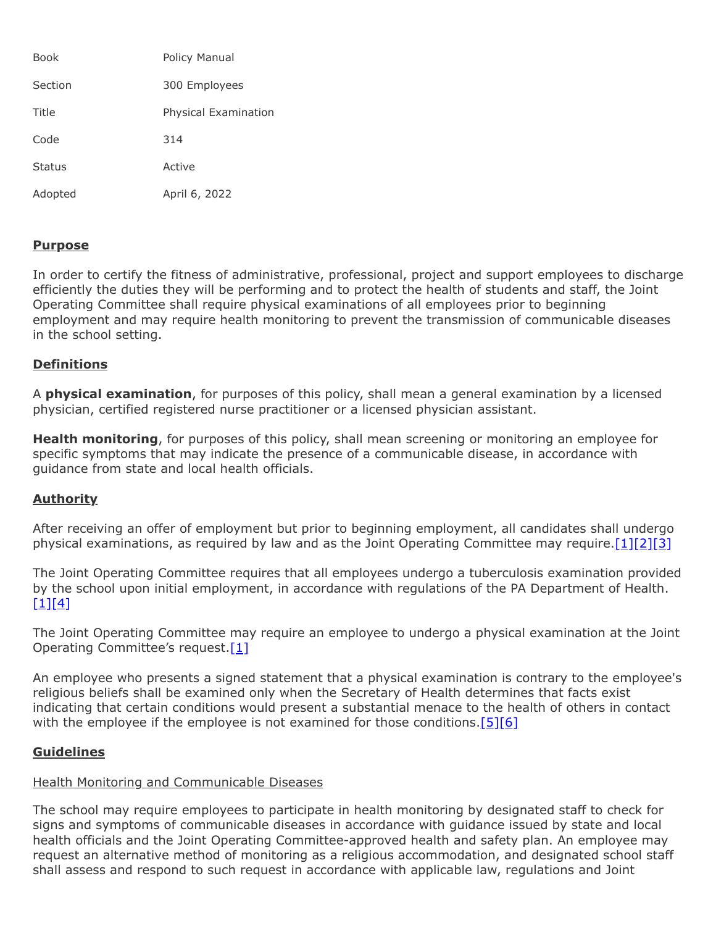| <b>Book</b>   | Policy Manual        |
|---------------|----------------------|
| Section       | 300 Employees        |
| Title         | Physical Examination |
| Code          | 314                  |
| <b>Status</b> | Active               |
| Adopted       | April 6, 2022        |

## **Purpose**

In order to certify the fitness of administrative, professional, project and support employees to discharge efficiently the duties they will be performing and to protect the health of students and staff, the Joint Operating Committee shall require physical examinations of all employees prior to beginning employment and may require health monitoring to prevent the transmission of communicable diseases in the school setting.

## **Definitions**

A **physical examination**, for purposes of this policy, shall mean a general examination by a licensed physician, certified registered nurse practitioner or a licensed physician assistant.

**Health monitoring**, for purposes of this policy, shall mean screening or monitoring an employee for specific symptoms that may indicate the presence of a communicable disease, in accordance with guidance from state and local health officials.

# **Authority**

After receiving an offer of employment but prior to beginning employment, all candidates shall undergo physical examinations, as required by law and as the Joint Operating Committee may require.  $[1][2][3]$  $[1][2][3]$  $[1][2][3]$ 

The Joint Operating Committee requires that all employees undergo a tuberculosis examination provided by the school upon initial employment, in accordance with regulations of the PA Department of Health.  $[1][4]$  $[1][4]$ 

The Joint Operating Committee may require an employee to undergo a physical examination at the Joint Operating Committee's request.<sup>[\[1\]](http://www.legis.state.pa.us/cfdocs/legis/LI/uconsCheck.cfm?txtType=HTM&yr=1949&sessInd=0&smthLwInd=0&act=14&chpt=14&sctn=18&subsctn=0)</sup>

An employee who presents a signed statement that a physical examination is contrary to the employee's religious beliefs shall be examined only when the Secretary of Health determines that facts exist indicating that certain conditions would present a substantial menace to the health of others in contact with the employee if the employee is not examined for those conditions.<sup>[\[5\]](http://www.legis.state.pa.us/cfdocs/legis/LI/uconsCheck.cfm?txtType=HTM&yr=1949&sessInd=0&smthLwInd=0&act=14&chpt=14&sctn=19&subsctn=0)[\[6\]](http://pacodeandbulletin.gov/Display/pacode?file=/secure/pacode/data/028/chapter23/s23.45.html&d=reduce)</sup>

#### **Guidelines**

# Health Monitoring and Communicable Diseases

The school may require employees to participate in health monitoring by designated staff to check for signs and symptoms of communicable diseases in accordance with guidance issued by state and local health officials and the Joint Operating Committee-approved health and safety plan. An employee may request an alternative method of monitoring as a religious accommodation, and designated school staff shall assess and respond to such request in accordance with applicable law, regulations and Joint